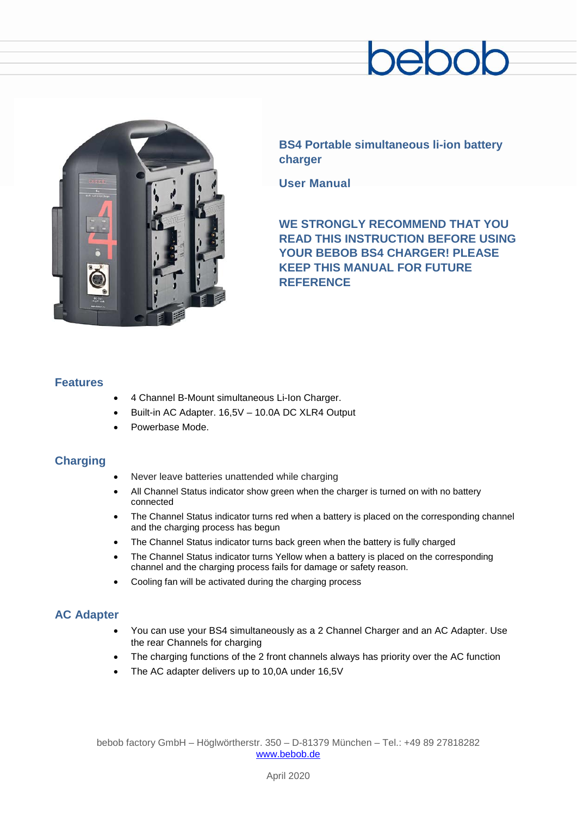# ebor



**BS4 Portable simultaneous li-ion battery charger**

**User Manual**

**WE STRONGLY RECOMMEND THAT YOU READ THIS INSTRUCTION BEFORE USING YOUR BEBOB BS4 CHARGER! PLEASE KEEP THIS MANUAL FOR FUTURE REFERENCE**

## **Features**

- 4 Channel B-Mount simultaneous Li-Ion Charger.
- Built-in AC Adapter. 16,5V 10.0A DC XLR4 Output
- Powerbase Mode.

# **Charging**

- Never leave batteries unattended while charging
- All Channel Status indicator show green when the charger is turned on with no battery connected
- The Channel Status indicator turns red when a battery is placed on the corresponding channel and the charging process has begun
- The Channel Status indicator turns back green when the battery is fully charged
- The Channel Status indicator turns Yellow when a battery is placed on the corresponding channel and the charging process fails for damage or safety reason.
- Cooling fan will be activated during the charging process

# **AC Adapter**

- You can use your BS4 simultaneously as a 2 Channel Charger and an AC Adapter. Use the rear Channels for charging
- The charging functions of the 2 front channels always has priority over the AC function
- The AC adapter delivers up to 10,0A under 16,5V